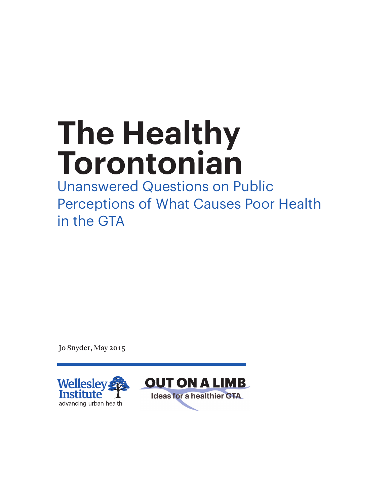# **The Healthy Torontonian**

Unanswered Questions on Public Perceptions of What Causes Poor Health in the GTA

Jo Snyder, May 2015

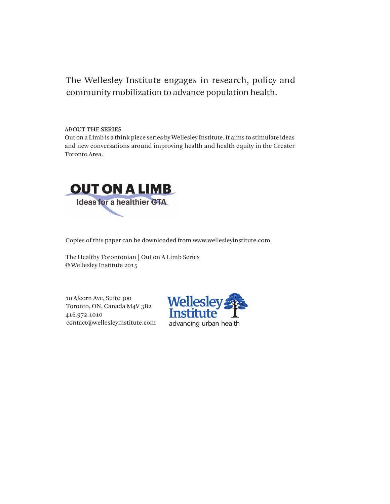## The Wellesley Institute engages in research, policy and community mobilization to advance population health.

ABOUT THE SERIES

Out on a Limb is a think piece series by Wellesley Institute. It aims to stimulate ideas and new conversations around improving health and health equity in the Greater Toronto Area.



Copies of this paper can be downloaded from www.wellesleyinstitute.com.

The Healthy Torontonian | Out on A Limb Series © Wellesley Institute 2015

10 Alcorn Ave, Suite 300 Toronto, ON, Canada M4V 3B2 416.972.1010 contact@wellesleyinstitute.com

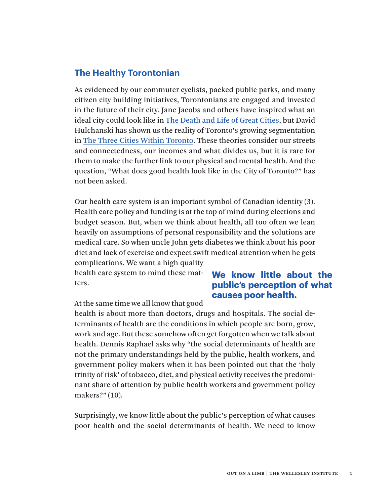## **The Healthy Torontonian**

As evidenced by our commuter cyclists, packed public parks, and many citizen city building initiatives, Torontonians are engaged and invested in the future of their city. Jane Jacobs and others have inspired what an ideal city could look like in [The Death and Life of Great Cities](http://www.theguardian.com/books/2011/oct/14/jane-jacobs-death-and-life-rereading), but David Hulchanski has shown us the reality of Toronto's growing segmentation in [The Three Cities Within Toronto.](http://www.urbancentre.utoronto.ca/pdfs/curp/tnrn/Three-Cities-Within-Toronto-2010-Final.pdf) These theories consider our streets and connectedness, our incomes and what divides us, but it is rare for them to make the further link to our physical and mental health. And the question, "What does good health look like in the City of Toronto?" has not been asked.

Our health care system is an important symbol of Canadian identity (3). Health care policy and funding is at the top of mind during elections and budget season. But, when we think about health, all too often we lean heavily on assumptions of personal responsibility and the solutions are medical care. So when uncle John gets diabetes we think about his poor diet and lack of exercise and expect swift medical attention when he gets complications. We want a high quality

health care system to mind these matters.

### **We know little about the public's perception of what causes poor health.**

At the same time we all know that good

health is about more than doctors, drugs and hospitals. The social determinants of health are the conditions in which people are born, grow, work and age. But these somehow often get forgotten when we talk about health. Dennis Raphael asks why "the social determinants of health are not the primary understandings held by the public, health workers, and government policy makers when it has been pointed out that the 'holy trinity of risk' of tobacco, diet, and physical activity receives the predominant share of attention by public health workers and government policy makers?" (10).

Surprisingly, we know little about the public's perception of what causes poor health and the social determinants of health. We need to know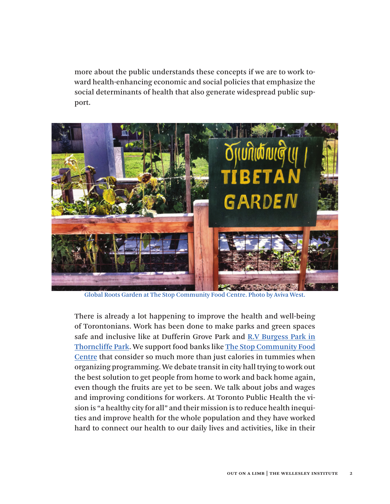more about the public understands these concepts if we are to work toward health-enhancing economic and social policies that emphasize the social determinants of health that also generate widespread public support.



Global Roots Garden at The Stop Community Food Centre. Photo by Aviva West.

There is already a lot happening to improve the health and well-being of Torontonians. Work has been done to make parks and green spaces safe and inclusive like at [Dufferin Grove Park a](http://dufferinpark.ca/home/wiki/wiki.php)nd [R.V Burgess Park](http://www.citylab.com/design/2014/09/how-an-oven-changed-the-fate-of-a-neglected-toronto-park/379965/) in Thorncliffe Park. We support food banks like [The Stop Community Food](http://www.thestop.org/) [Centre th](http://www.thestop.org/)at consider so much more than just calories in tummies when organizing programming. We debate transit in city hall trying to work out the best solution to get people from home to work and back home again, [even though the fruits are yet to be seen](http://www.torontosun.com/2015/01/24/toronto-debates-while-other-world-cities-move-on-transit). We talk about jobs and wages and [improving conditions for workers](http://www.workersactioncentre.org/press-room/policy-papers/). At Toronto Public Health the vision is "a healthy city for all" and their mission is to reduce health inequities and improve health for the whole population and they have worked hard to connect our health to our daily lives and activities, like in their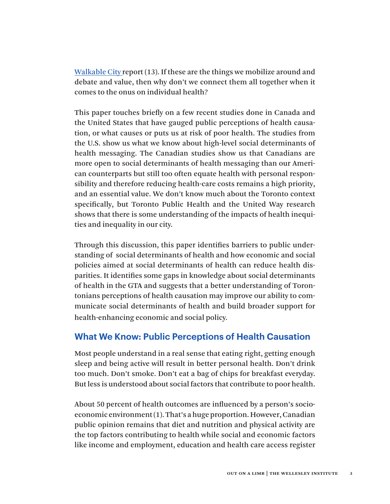[Walkable City report](http://www1.toronto.ca/city_of_toronto/toronto_public_health/healthy_public_policy/hphe/files/pdf/walkable_city.pdf) (13). If these are the things we mobilize around and debate and value, then why don't we connect them all together when it comes to the onus on individual health?

This paper touches briefly on a few recent studies done in Canada and the United States that have gauged public perceptions of health causation, or what causes or puts us at risk of poor health. The studies from the U.S. show us what we know about high-level social determinants of health messaging. The Canadian studies show us that Canadians are more open to social determinants of health messaging than our American counterparts but still too often equate health with personal responsibility and therefore reducing health-care costs remains a high priority, and an essential value. We don't know much about the Toronto context specifically, but Toronto Public Health and the United Way research shows that there is some understanding of the impacts of health inequities and inequality in our city.

Through this discussion, this paper identifies barriers to public understanding of social determinants of health and how economic and social policies aimed at social determinants of health can reduce health disparities. It identifies some gaps in knowledge about social determinants of health in the GTA and suggests that a better understanding of Torontonians perceptions of health causation may improve our ability to communicate social determinants of health and build broader support for health-enhancing economic and social policy.

#### **What We Know: Public Perceptions of Health Causation**

Most people understand in a real sense that eating right, getting enough sleep and being active will result in better personal health. Don't drink too much. Don't smoke. Don't eat a bag of chips for breakfast everyday. But less is understood about social factors that contribute to poor health.

About 50 percent of health outcomes are influenced by a person's socioeconomic environment (1). That's a huge proportion. However, Canadian public opinion remains that diet and nutrition and physical activity are the top factors contributing to health while social and economic factors like income and employment, education and health care access register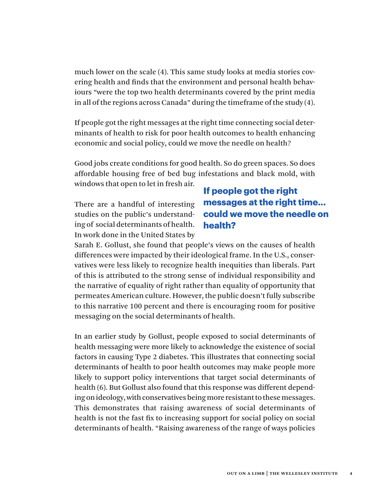much lower on the scale (4). This same study looks at media stories covering health and finds that the environment and personal health behaviours "were the top two health determinants covered by the print media in all of the regions across Canada" during the timeframe of the study (4).

If people got the right messages at the right time connecting social determinants of health to risk for poor health outcomes to health enhancing economic and social policy, could we move the needle on health?

Good jobs create conditions for good health. So do green spaces. So does affordable housing free of bed bug infestations and black mold, with windows that open to let in fresh air.

There are a handful of interesting studies on the public's understanding of social determinants of health. In work done in the United States by

## **If people got the right messages at the right time... could we move the needle on health?**

Sarah E. Gollust, she found that people's views on the causes of health differences were impacted by their ideological frame. In the U.S., conservatives were less likely to recognize health inequities than liberals. Part of this is attributed to the strong sense of individual responsibility and the narrative of equality of right rather than equality of opportunity that permeates American culture. However, the public doesn't fully subscribe to this narrative 100 percent and there is encouraging room for positive messaging on the social determinants of health.

In an earlier study by Gollust, people exposed to social determinants of health messaging were more likely to acknowledge the existence of social factors in causing Type 2 diabetes. This illustrates that connecting social determinants of health to poor health outcomes may make people more likely to support policy interventions that target social determinants of health (6). But Gollust also found that this response was different depending on ideology, with conservatives being more resistant to these messages. This demonstrates that raising awareness of social determinants of health is not the fast fix to increasing support for social policy on social determinants of health. "Raising awareness of the range of ways policies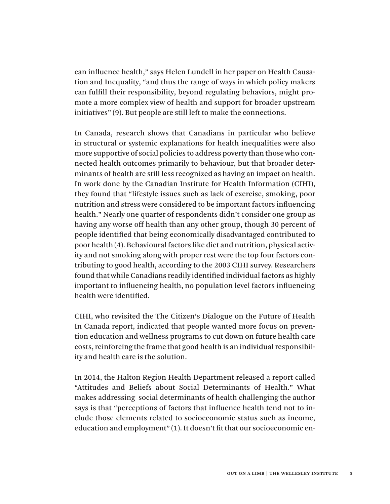can influence health," says Helen Lundell in her paper on Health Causation and Inequality, "and thus the range of ways in which policy makers can fulfill their responsibility, beyond regulating behaviors, might promote a more complex view of health and support for broader upstream initiatives" (9). But people are still left to make the connections.

In Canada, research shows that Canadians in particular who believe in structural or systemic explanations for health inequalities were also more supportive of social policies to address poverty than those who connected health outcomes primarily to behaviour, but that broader determinants of health are still less recognized as having an impact on health. In work done by the Canadian Institute for Health Information (CIHI), they found that "lifestyle issues such as lack of exercise, smoking, poor nutrition and stress were considered to be important factors influencing health." Nearly one quarter of respondents didn't consider one group as having any worse off health than any other group, though 30 percent of people identified that being economically disadvantaged contributed to poor health (4). Behavioural factors like diet and nutrition, physical activity and not smoking along with proper rest were the top four factors contributing to good health, according to the 2003 CIHI survey. Researchers found that while Canadians readily identified individual factors as highly important to influencing health, no population level factors influencing health were identified.

CIHI, who revisited the The Citizen's Dialogue on the Future of Health In Canada report, indicated that people wanted more focus on prevention education and wellness programs to cut down on future health care costs, reinforcing the frame that good health is an individual responsibility and health care is the solution.

In 2014, the Halton Region Health Department released a report called "Attitudes and Beliefs about Social Determinants of Health." What makes addressing social determinants of health challenging the author says is that "perceptions of factors that influence health tend not to include those elements related to socioeconomic status such as income, education and employment" (1). It doesn't fit that our socioeconomic en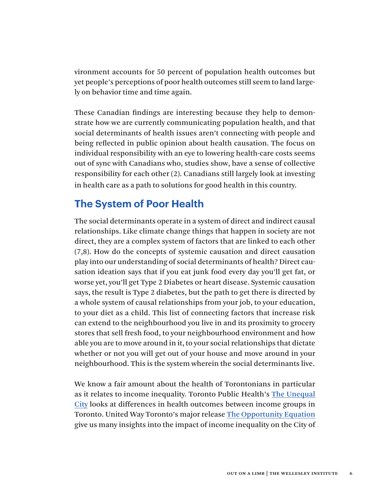vironment accounts for 50 percent of population health outcomes but yet people's perceptions of poor health outcomes still seem to land largely on behavior time and time again.

These Canadian findings are interesting because they help to demonstrate how we are currently communicating population health, and that social determinants of health issues aren't connecting with people and being reflected in public opinion about health causation. The focus on individual responsibility with an eye to lowering health-care costs seems out of sync with Canadians who, studies show, have a sense of collective responsibility for each other (2). Canadians still largely look at investing in health care as a path to solutions for good health in this country.

## **The System of Poor Health**

The social determinants operate in a system of direct and indirect causal relationships. Like climate change things that happen in society are not direct, they are a complex system of factors that are linked to each other (7,8). How do the concepts of systemic causation and direct causation play into our understanding of social determinants of health? Direct causation ideation says that if you eat junk food every day you'll get fat, or worse yet, you'll get Type 2 Diabetes or heart disease. Systemic causation says, the result is Type 2 diabetes, but the path to get there is directed by a whole system of causal relationships from your job, to your education, to your diet as a child. This list of connecting factors that increase risk can extend to the neighbourhood you live in and its proximity to grocery stores that sell fresh food, to your neighbourhood environment and how able you are to move around in it, to your social relationships that dictate whether or not you will get out of your house and move around in your neighbourhood. This is the system wherein the social determinants live.

We know a fair amount about the health of Torontonians in particular as it relates to income inequality. Toronto Public Health's [The Unequal](http://www.toronto.ca/legdocs/mmis/2015/hl/bgrd/backgroundfile-79096.pdf) [City](http://www.toronto.ca/legdocs/mmis/2015/hl/bgrd/backgroundfile-79096.pdf) looks at differences in health outcomes between income groups in Toronto. United Way Toronto's major release [The Opportunity Equation](http://www.unitedwaytoronto.com/) give us many insights into the impact of income inequality on the City of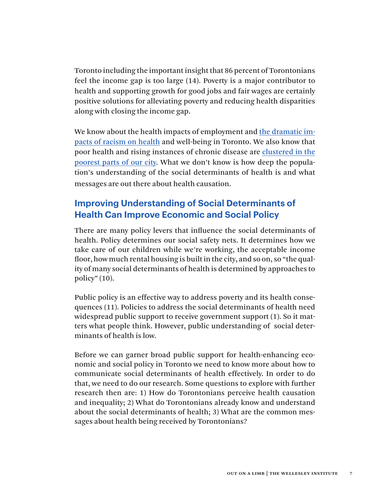Toronto including the important insight that 86 percent of Torontonians feel the income gap is too large (14). Poverty is a major contributor to health and supporting growth for good jobs and fair wages are certainly positive solutions for alleviating poverty and reducing health disparities along with closing the income gap.

We know about the health impacts of employment and the [dramatic im](http://www.toronto.ca/legdocs/mmis/2013/hl/bgrd/backgroundfile-62904.pdf)[pacts of racism on health and well-being](http://www.toronto.ca/legdocs/mmis/2013/hl/bgrd/backgroundfile-62904.pdf) in Toronto. We also know that poor health and rising instances of chronic disease are [clustered in the](http://www1.toronto.ca/wps/portal/contentonly%3Fvgnextoid%3D51c30e32cc2c1410VgnVCM10000071d60f89RCRD) [poorest parts of our city](http://www1.toronto.ca/wps/portal/contentonly%3Fvgnextoid%3D51c30e32cc2c1410VgnVCM10000071d60f89RCRD). What we don't know is how deep the population's understanding of the social determinants of health is and what messages are out there about health causation.

## **Improving Understanding of Social Determinants of Health Can Improve Economic and Social Policy**

There are many policy levers that influence the social determinants of health. Policy determines our social safety nets. It determines how we take care of our children while we're working, the acceptable income floor, how much rental housing is built in the city, and so on, so "the quality of many social determinants of health is determined by approaches to policy" (10).

Public policy is an effective way to address poverty and its health consequences (11). Policies to address the social determinants of health need widespread public support to receive government support (1). So it matters what people think. However, public understanding of social determinants of health is low.

Before we can garner broad public support for health-enhancing economic and social policy in Toronto we need to know more about how to communicate social determinants of health effectively. In order to do that, we need to do our research. Some questions to explore with further research then are: 1) How do Torontonians perceive health causation and inequality; 2) What do Torontonians already know and understand about the social determinants of health; 3) What are the common messages about health being received by Torontonians?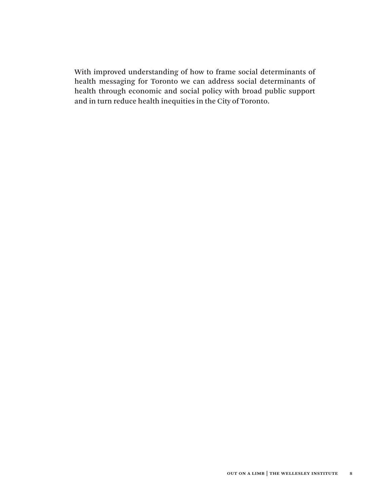With improved understanding of how to frame social determinants of health messaging for Toronto we can address social determinants of health through economic and social policy with broad public support and in turn reduce health inequities in the City of Toronto.